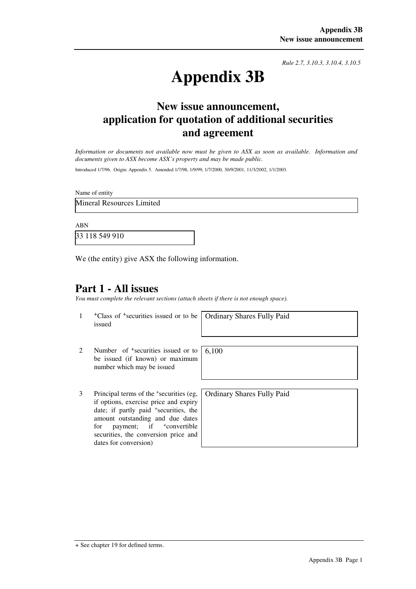*Rule 2.7, 3.10.3, 3.10.4, 3.10.5*

# **Appendix 3B**

## **New issue announcement, application for quotation of additional securities and agreement**

*Information or documents not available now must be given to ASX as soon as available. Information and documents given to ASX become ASX's property and may be made public.* 

Introduced 1/7/96. Origin: Appendix 5. Amended 1/7/98, 1/9/99, 1/7/2000, 30/9/2001, 11/3/2002, 1/1/2003.

Name of entity

Mineral Resources Limited

ABN

33 118 549 910

We (the entity) give ASX the following information.

## **Part 1 - All issues**

*You must complete the relevant sections (attach sheets if there is not enough space).*

1 +Class of +securities issued or to be issued

Ordinary Shares Fully Paid

- 2 Number of <sup>+</sup>securities issued or to be issued (if known) or maximum number which may be issued 6,100
- 3 Principal terms of the <sup>+</sup> securities (eg, if options, exercise price and expiry date; if partly paid <sup>+</sup>securities, the amount outstanding and due dates for payment; if  $\pm$ convertible securities, the conversion price and dates for conversion)

Ordinary Shares Fully Paid

<sup>+</sup> See chapter 19 for defined terms.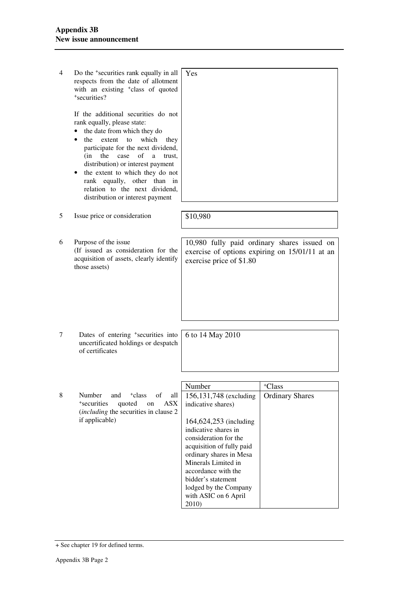| 4 | Do the <sup>+</sup> securities rank equally in all<br>respects from the date of allotment<br>with an existing <sup>+</sup> class of quoted<br>+securities?<br>If the additional securities do not<br>rank equally, please state:<br>the date from which they do<br>extent<br>which<br>the<br>to<br>they<br>participate for the next dividend,<br>of<br>(in<br>the<br>case<br>a<br>trust.<br>distribution) or interest payment<br>the extent to which they do not<br>rank equally, other<br>than<br>in<br>relation to the next dividend,<br>distribution or interest payment | Yes                                                                                                                                                                                                                                                                                                                     |                                              |
|---|-----------------------------------------------------------------------------------------------------------------------------------------------------------------------------------------------------------------------------------------------------------------------------------------------------------------------------------------------------------------------------------------------------------------------------------------------------------------------------------------------------------------------------------------------------------------------------|-------------------------------------------------------------------------------------------------------------------------------------------------------------------------------------------------------------------------------------------------------------------------------------------------------------------------|----------------------------------------------|
| 5 | Issue price or consideration                                                                                                                                                                                                                                                                                                                                                                                                                                                                                                                                                | \$10,980                                                                                                                                                                                                                                                                                                                |                                              |
| 6 | Purpose of the issue<br>(If issued as consideration for the<br>acquisition of assets, clearly identify<br>those assets)                                                                                                                                                                                                                                                                                                                                                                                                                                                     | 10,980 fully paid ordinary shares issued on<br>exercise of options expiring on 15/01/11 at an<br>exercise price of \$1.80                                                                                                                                                                                               |                                              |
| 7 | Dates of entering <sup>+</sup> securities into<br>uncertificated holdings or despatch<br>of certificates                                                                                                                                                                                                                                                                                                                                                                                                                                                                    | 6 to 14 May 2010                                                                                                                                                                                                                                                                                                        |                                              |
| 8 | Number<br><sup>+</sup> class<br>of<br>and<br>all<br>*securities<br>quoted<br>ASX<br>on<br>( <i>including</i> the securities in clause 2<br>if applicable)                                                                                                                                                                                                                                                                                                                                                                                                                   | Number<br>156,131,748 (excluding<br>indicative shares)<br>164,624,253 (including<br>indicative shares in<br>consideration for the<br>acquisition of fully paid<br>ordinary shares in Mesa<br>Minerals Limited in<br>accordance with the<br>bidder's statement<br>lodged by the Company<br>with ASIC on 6 April<br>2010) | <sup>+</sup> Class<br><b>Ordinary Shares</b> |

<sup>+</sup> See chapter 19 for defined terms.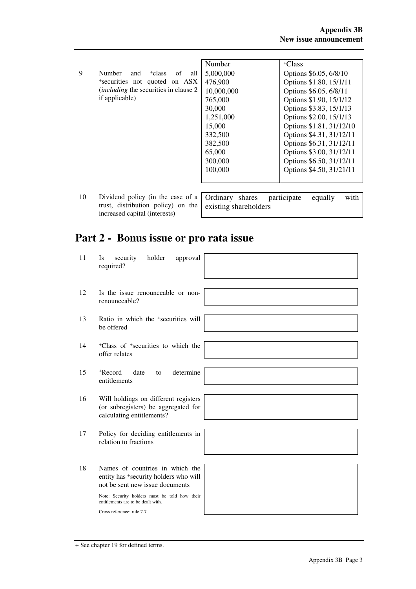|    |                                                           | Number     | <sup>+</sup> Class             |
|----|-----------------------------------------------------------|------------|--------------------------------|
| 9  | <b>Number</b><br><sup>+</sup> class<br>and<br>all<br>of   | 5,000,000  | Options \$6.05, 6/8/10         |
|    |                                                           |            |                                |
|    | *securities not quoted on ASX                             | 476,900    | Options \$1.80, 15/1/11        |
|    | <i>(including the securities in clause 2)</i>             | 10,000,000 | Options \$6.05, 6/8/11         |
|    | if applicable)                                            | 765,000    | Options \$1.90, 15/1/12        |
|    |                                                           | 30,000     | Options \$3.83, 15/1/13        |
|    |                                                           | 1,251,000  | Options \$2.00, 15/1/13        |
|    |                                                           | 15,000     | Options \$1.81, 31/12/10       |
|    |                                                           | 332,500    | Options \$4.31, 31/12/11       |
|    |                                                           | 382,500    | Options \$6.31, 31/12/11       |
|    |                                                           | 65,000     | Options \$3.00, 31/12/11       |
|    |                                                           | 300,000    | Options \$6.50, 31/12/11       |
|    |                                                           | 100,000    | Options \$4.50, 31/21/11       |
|    |                                                           |            |                                |
|    |                                                           |            |                                |
| 10 | Dividend policy (in the case of a $\vert$ Ordinary shares |            | with<br>participate<br>equally |

10 Dividend policy (in the case of a trust, distribution policy) on the increased capital (interests)

|                       |  | Ordinary shares participate equally |  | with |
|-----------------------|--|-------------------------------------|--|------|
| existing shareholders |  |                                     |  |      |
|                       |  |                                     |  |      |

# **Part 2 - Bonus issue or pro rata issue**

| 11 | holder<br>approval<br>security<br>Is<br>required?                                                                                                                                                                                |
|----|----------------------------------------------------------------------------------------------------------------------------------------------------------------------------------------------------------------------------------|
| 12 | Is the issue renounceable or non-<br>renounceable?                                                                                                                                                                               |
| 13 | Ratio in which the <sup>+</sup> securities will<br>be offered                                                                                                                                                                    |
| 14 | <sup>+</sup> Class of <sup>+</sup> securities to which the<br>offer relates                                                                                                                                                      |
| 15 | +Record<br>date<br>determine<br>to<br>entitlements                                                                                                                                                                               |
| 16 | Will holdings on different registers<br>(or subregisters) be aggregated for<br>calculating entitlements?                                                                                                                         |
| 17 | Policy for deciding entitlements in<br>relation to fractions                                                                                                                                                                     |
| 18 | Names of countries in which the<br>entity has *security holders who will<br>not be sent new issue documents<br>Note: Security holders must be told how their<br>entitlements are to be dealt with.<br>Cross reference: rule 7.7. |

<sup>+</sup> See chapter 19 for defined terms.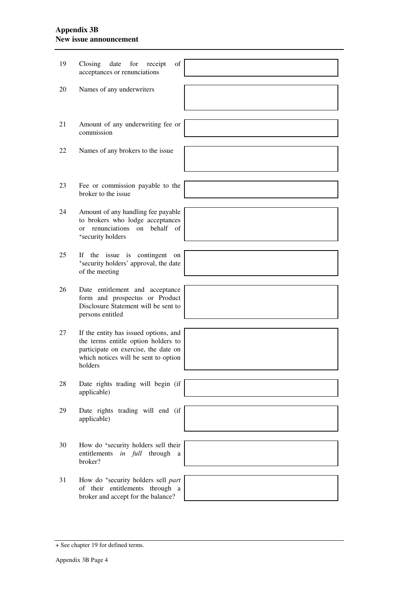## **Appendix 3B New issue announcement**

| 19 | of<br>Closing<br>date<br>for<br>receipt<br>acceptances or renunciations                                                                                                 |  |
|----|-------------------------------------------------------------------------------------------------------------------------------------------------------------------------|--|
|    |                                                                                                                                                                         |  |
| 20 | Names of any underwriters                                                                                                                                               |  |
|    |                                                                                                                                                                         |  |
| 21 | Amount of any underwriting fee or<br>commission                                                                                                                         |  |
|    |                                                                                                                                                                         |  |
| 22 | Names of any brokers to the issue                                                                                                                                       |  |
|    |                                                                                                                                                                         |  |
| 23 | Fee or commission payable to the<br>broker to the issue                                                                                                                 |  |
|    |                                                                                                                                                                         |  |
| 24 | Amount of any handling fee payable<br>to brokers who lodge acceptances<br>or renunciations on behalf of<br>+security holders                                            |  |
|    |                                                                                                                                                                         |  |
| 25 | If the issue is contingent<br>on<br>*security holders' approval, the date<br>of the meeting                                                                             |  |
|    |                                                                                                                                                                         |  |
| 26 | Date entitlement and acceptance<br>form and prospectus or Product<br>Disclosure Statement will be sent to<br>persons entitled                                           |  |
|    |                                                                                                                                                                         |  |
| 27 | If the entity has issued options, and<br>the terms entitle option holders to<br>participate on exercise, the date on<br>which notices will be sent to option<br>holders |  |
|    |                                                                                                                                                                         |  |
| 28 | Date rights trading will begin (if<br>applicable)                                                                                                                       |  |
|    |                                                                                                                                                                         |  |
| 29 | Date rights trading will end (if<br>applicable)                                                                                                                         |  |
|    |                                                                                                                                                                         |  |
| 30 | How do <sup>+</sup> security holders sell their<br>entitlements<br>in full through<br>a<br>broker?                                                                      |  |
|    |                                                                                                                                                                         |  |
| 31 | How do <sup>+</sup> security holders sell part<br>of their entitlements through a<br>broker and accept for the balance?                                                 |  |
|    |                                                                                                                                                                         |  |

<sup>+</sup> See chapter 19 for defined terms.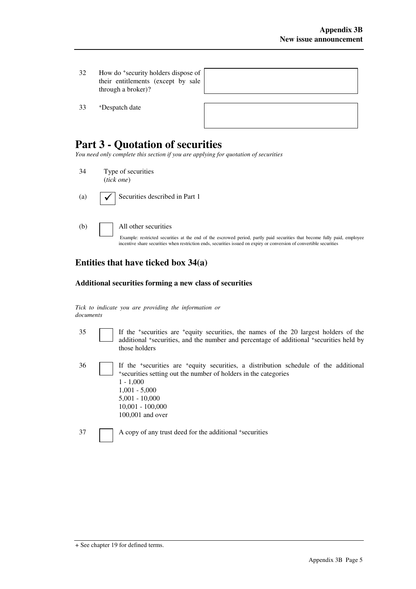32 How do <sup>+</sup> security holders dispose of their entitlements (except by sale through a broker)?

33 <sup>+</sup>Despatch date



## **Part 3 - Quotation of securities**

*You need only complete this section if you are applying for quotation of securities* 

- 34 Type of securities (*tick one*)
- (a)  $\bigcup$  Securities described in Part 1
- 

(b) All other securities

Example: restricted securities at the end of the escrowed period, partly paid securities that become fully paid, employee incentive share securities when restriction ends, securities issued on expiry or conversion of convertible securities

## **Entities that have ticked box 34(a)**

#### **Additional securities forming a new class of securities**

*Tick to indicate you are providing the information or documents*

- 35 If the <sup>+</sup> securities are <sup>+</sup>equity securities, the names of the 20 largest holders of the additional <sup>+</sup>securities, and the number and percentage of additional <sup>+</sup>securities held by those holders
- 36 If the <sup>+</sup> securities are <sup>+</sup>equity securities, a distribution schedule of the additional + securities setting out the number of holders in the categories 1 - 1,000 1,001 - 5,000 5,001 - 10,000 10,001 - 100,000 100,001 and over

37 A copy of any trust deed for the additional +securities

<sup>+</sup> See chapter 19 for defined terms.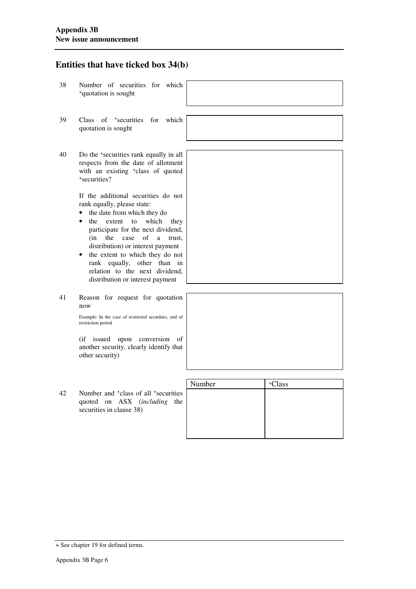### **Entities that have ticked box 34(b)**

- 38 Number of securities for which <sup>+</sup>quotation is sought
- 39 Class of <sup>+</sup> securities for which quotation is sought
- 40 Do the <sup>+</sup> securities rank equally in all respects from the date of allotment with an existing <sup>+</sup>class of quoted + securities?

If the additional securities do not rank equally, please state:

- the date from which they do
- the extent to which they participate for the next dividend, (in the case of a trust, distribution) or interest payment
- the extent to which they do not rank equally, other than in relation to the next dividend, distribution or interest payment
- 41 Reason for request for quotation now

Example: In the case of restricted securities, end of restriction period

(if issued upon conversion of another security, clearly identify that other security)

|    | another security, clearly identify that<br>other security)                                                                      |        |                    |
|----|---------------------------------------------------------------------------------------------------------------------------------|--------|--------------------|
|    |                                                                                                                                 | Number | <sup>+</sup> Class |
| 42 | Number and <sup>+</sup> class of all <sup>+</sup> securities<br>quoted on ASX <i>(including the</i><br>securities in clause 38) |        |                    |

+ See chapter 19 for defined terms.